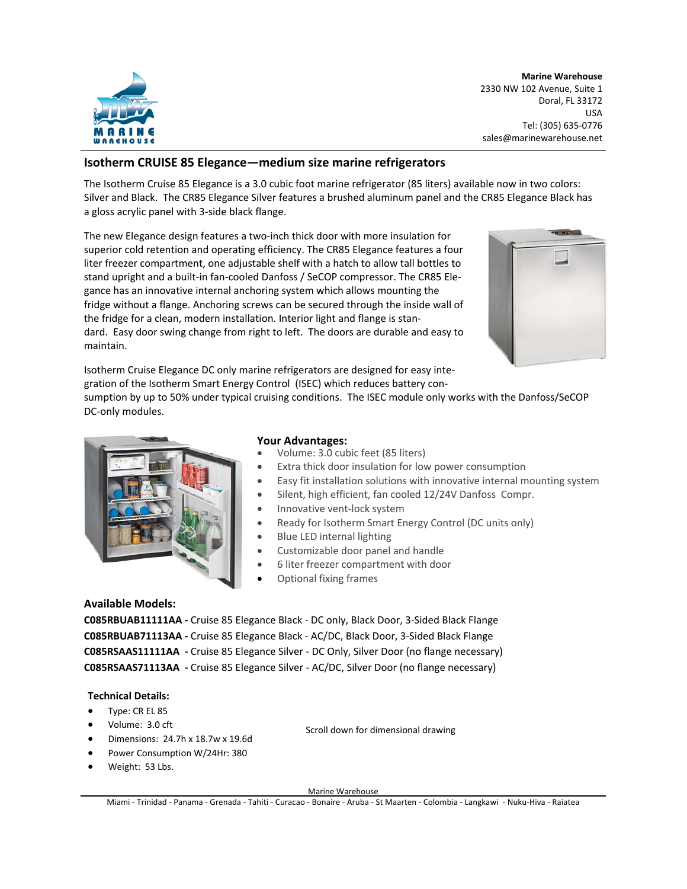

**Marine Warehouse**  2330 NW 102 Avenue, Suite 1 Doral, FL 33172 USA Tel: (305) 635‐0776 sales@marinewarehouse.net

# **Isotherm CRUISE 85 Elegance—medium size marine refrigerators**

The Isotherm Cruise 85 Elegance is a 3.0 cubic foot marine refrigerator (85 liters) available now in two colors: Silver and Black. The CR85 Elegance Silver features a brushed aluminum panel and the CR85 Elegance Black has a gloss acrylic panel with 3‐side black flange.

The new Elegance design features a two-inch thick door with more insulation for superior cold retention and operating efficiency. The CR85 Elegance features a four liter freezer compartment, one adjustable shelf with a hatch to allow tall bottles to stand upright and a built-in fan-cooled Danfoss / SeCOP compressor. The CR85 Elegance has an innovative internal anchoring system which allows mounting the fridge without a flange. Anchoring screws can be secured through the inside wall of the fridge for a clean, modern installation. Interior light and flange is standard. Easy door swing change from right to left. The doors are durable and easy to maintain.



Isotherm Cruise Elegance DC only marine refrigerators are designed for easy inte‐ gration of the Isotherm Smart Energy Control (ISEC) which reduces battery con-

sumption by up to 50% under typical cruising conditions. The ISEC module only works with the Danfoss/SeCOP DC‐only modules.



# **Your Advantages:**

- Volume: 3.0 cubic feet (85 liters)
- Extra thick door insulation for low power consumption
- Easy fit installation solutions with innovative internal mounting system
- Silent, high efficient, fan cooled 12/24V Danfoss Compr.
- Innovative vent‐lock system
- Ready for Isotherm Smart Energy Control (DC units only)
- Blue LED internal lighting
- Customizable door panel and handle
- 6 liter freezer compartment with door
- Optional fixing frames

### **Available Models:**

**C085RBUAB11111AA ‐** Cruise 85 Elegance Black ‐ DC only, Black Door, 3‐Sided Black Flange **C085RBUAB71113AA ‐** Cruise 85 Elegance Black ‐ AC/DC, Black Door, 3‐Sided Black Flange **C085RSAAS11111AA ‐** Cruise 85 Elegance Silver ‐ DC Only, Silver Door (no flange necessary) **C085RSAAS71113AA ‐** Cruise 85 Elegance Silver ‐ AC/DC, Silver Door (no flange necessary)

#### **Technical Details:**

- Type: CR EL 85
- Volume: 3.0 cft
- Dimensions: 24.7h x 18.7w x 19.6d
- Power Consumption W/24Hr: 380
- Weight: 53 Lbs.

Scroll down for dimensional drawing

Marine Warehouse